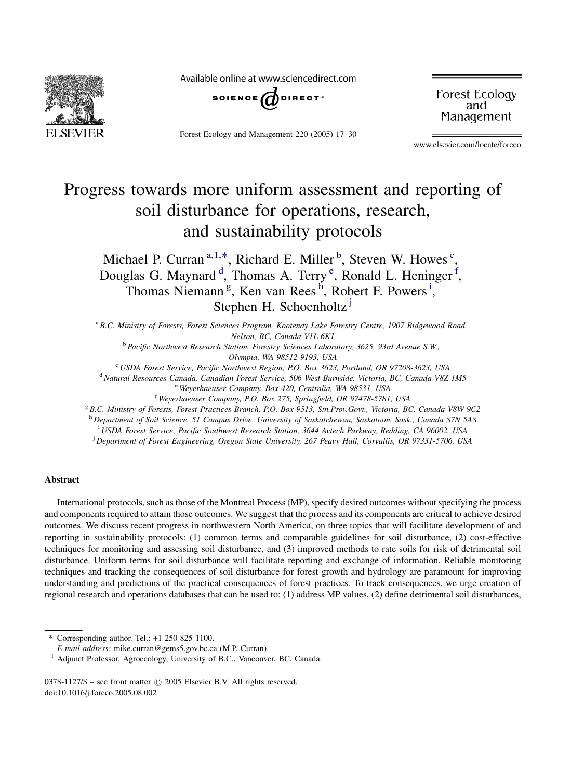

Available online at www.sciencedirect.com



Forest Ecology and Management 220 (2005) 17–30

Forest Ecology and Management

www.elsevier.com/locate/foreco

## Progress towards more uniform assessment and reporting of soil disturbance for operations, research, and sustainability protocols

Michael P. Curran<sup>a, 1,\*</sup>, Richard E. Miller<sup>b</sup>, Steven W. Howes<sup>c</sup>, Douglas G. Maynard<sup>d</sup>, Thomas A. Terry<sup>e</sup>, Ronald L. Heninger<sup>f</sup>, Thomas Niemann<sup>g</sup>, Ken van Rees<sup>h</sup>, Robert F. Powers<sup>i</sup>, Stephen H. Schoenholtz<sup>j</sup>

a B.C. Ministry of Forests, Forest Sciences Program, Kootenay Lake Forestry Centre, 1907 Ridgewood Road, Nelson, BC, Canada V1L 6K1

<sup>b</sup> Pacific Northwest Research Station, Forestry Sciences Laboratory, 3625, 93rd Avenue S.W.,

Olympia, WA 98512-9193, USA

<sup>c</sup> USDA Forest Service, Pacific Northwest Region, P.O. Box 3623, Portland, OR 97208-3623, USA

<sup>d</sup> Natural Resources Canada, Canadian Forest Service, 506 West Burnside, Victoria, BC, Canada V8Z 1M5

<sup>e</sup> Weyerhaeuser Company, Box 420, Centralia, WA 98531, USA

<sup>f</sup> Weyerhaeuser Company, P.O. Box 275, Springfield, OR 97478-5781, USA

<sup>g</sup> B.C. Ministry of Forests, Forest Practices Branch, P.O. Box 9513, Stn.Prov.Govt., Victoria, BC, Canada V8W 9C2

h Department of Soil Science, 51 Campus Drive, University of Saskatchewan, Saskatoon, Sask., Canada S7N 5A8

<sup>i</sup> USDA Forest Service, Pacific Southwest Research Station, 3644 Avtech Parkway, Redding, CA 96002, USA

<sup>j</sup> Department of Forest Engineering, Oregon State University, 267 Peavy Hall, Corvallis, OR 97331-5706, USA

## Abstract

International protocols, such as those of the Montreal Process (MP), specify desired outcomes without specifying the process and components required to attain those outcomes. We suggest that the process and its components are critical to achieve desired outcomes. We discuss recent progress in northwestern North America, on three topics that will facilitate development of and reporting in sustainability protocols: (1) common terms and comparable guidelines for soil disturbance, (2) cost-effective techniques for monitoring and assessing soil disturbance, and (3) improved methods to rate soils for risk of detrimental soil disturbance. Uniform terms for soil disturbance will facilitate reporting and exchange of information. Reliable monitoring techniques and tracking the consequences of soil disturbance for forest growth and hydrology are paramount for improving understanding and predictions of the practical consequences of forest practices. To track consequences, we urge creation of regional research and operations databases that can be used to: (1) address MP values, (2) define detrimental soil disturbances,

\* Corresponding author. Tel.: +1 250 825 1100.

E-mail address: mike.curran@gems5.gov.bc.ca (M.P. Curran).<br>Adjunct Professor, Agroecology, University of B.C., Vancouver, BC, Canada.

<sup>0378-1127/\$ –</sup> see front matter  $\odot$  2005 Elsevier B.V. All rights reserved. doi:10.1016/j.foreco.2005.08.002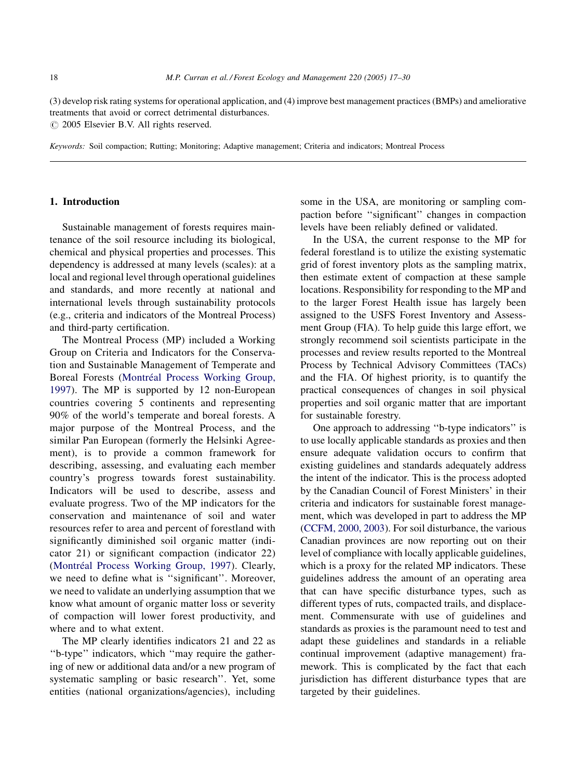(3) develop risk rating systems for operational application, and (4) improve best management practices (BMPs) and ameliorative treatments that avoid or correct detrimental disturbances.  $\odot$  2005 Elsevier B.V. All rights reserved.

Keywords: Soil compaction; Rutting; Monitoring; Adaptive management; Criteria and indicators; Montreal Process

## 1. Introduction

Sustainable management of forests requires maintenance of the soil resource including its biological, chemical and physical properties and processes. This dependency is addressed at many levels (scales): at a local and regional level through operational guidelines and standards, and more recently at national and international levels through sustainability protocols (e.g., criteria and indicators of the Montreal Process) and third-party certification.

The Montreal Process (MP) included a Working Group on Criteria and Indicators for the Conservation and Sustainable Management of Temperate and Boreal Forests (Montréal Process Working Group, [1997\)](#page--1-0). The MP is supported by 12 non-European countries covering 5 continents and representing 90% of the world's temperate and boreal forests. A major purpose of the Montreal Process, and the similar Pan European (formerly the Helsinki Agreement), is to provide a common framework for describing, assessing, and evaluating each member country's progress towards forest sustainability. Indicators will be used to describe, assess and evaluate progress. Two of the MP indicators for the conservation and maintenance of soil and water resources refer to area and percent of forestland with significantly diminished soil organic matter (indicator 21) or significant compaction (indicator 22) (Montréal Process Working Group, 1997). Clearly, we need to define what is ''significant''. Moreover, we need to validate an underlying assumption that we know what amount of organic matter loss or severity of compaction will lower forest productivity, and where and to what extent.

The MP clearly identifies indicators 21 and 22 as ''b-type'' indicators, which ''may require the gathering of new or additional data and/or a new program of systematic sampling or basic research''. Yet, some entities (national organizations/agencies), including

some in the USA, are monitoring or sampling compaction before ''significant'' changes in compaction levels have been reliably defined or validated.

In the USA, the current response to the MP for federal forestland is to utilize the existing systematic grid of forest inventory plots as the sampling matrix, then estimate extent of compaction at these sample locations. Responsibility for responding to the MP and to the larger Forest Health issue has largely been assigned to the USFS Forest Inventory and Assessment Group (FIA). To help guide this large effort, we strongly recommend soil scientists participate in the processes and review results reported to the Montreal Process by Technical Advisory Committees (TACs) and the FIA. Of highest priority, is to quantify the practical consequences of changes in soil physical properties and soil organic matter that are important for sustainable forestry.

One approach to addressing ''b-type indicators'' is to use locally applicable standards as proxies and then ensure adequate validation occurs to confirm that existing guidelines and standards adequately address the intent of the indicator. This is the process adopted by the Canadian Council of Forest Ministers' in their criteria and indicators for sustainable forest management, which was developed in part to address the MP ([CCFM, 2000, 2003\)](#page--1-0). For soil disturbance, the various Canadian provinces are now reporting out on their level of compliance with locally applicable guidelines, which is a proxy for the related MP indicators. These guidelines address the amount of an operating area that can have specific disturbance types, such as different types of ruts, compacted trails, and displacement. Commensurate with use of guidelines and standards as proxies is the paramount need to test and adapt these guidelines and standards in a reliable continual improvement (adaptive management) framework. This is complicated by the fact that each jurisdiction has different disturbance types that are targeted by their guidelines.